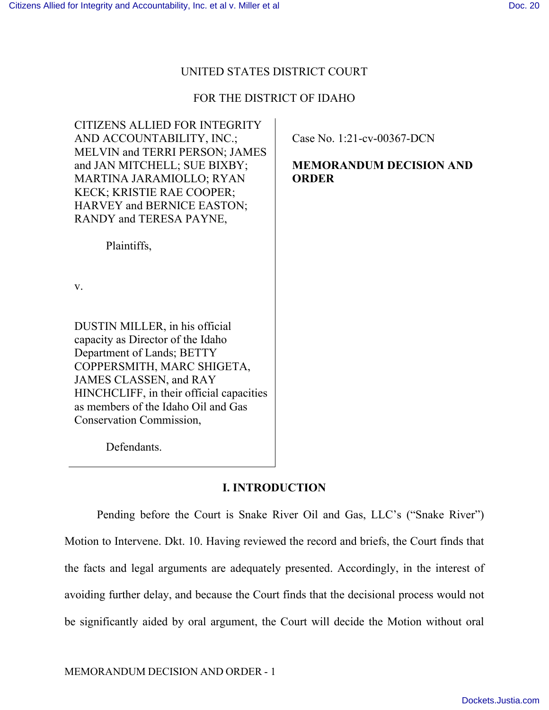## UNITED STATES DISTRICT COURT

# FOR THE DISTRICT OF IDAHO

CITIZENS ALLIED FOR INTEGRITY AND ACCOUNTABILITY, INC.; MELVIN and TERRI PERSON; JAMES and JAN MITCHELL; SUE BIXBY; MARTINA JARAMIOLLO; RYAN KECK; KRISTIE RAE COOPER; HARVEY and BERNICE EASTON; RANDY and TERESA PAYNE,

Plaintiffs,

v.

DUSTIN MILLER, in his official capacity as Director of the Idaho Department of Lands; BETTY COPPERSMITH, MARC SHIGETA, JAMES CLASSEN, and RAY HINCHCLIFF, in their official capacities as members of the Idaho Oil and Gas Conservation Commission,

Defendants.

# **I. INTRODUCTION**

Pending before the Court is Snake River Oil and Gas, LLC's ("Snake River") Motion to Intervene. Dkt. 10. Having reviewed the record and briefs, the Court finds that the facts and legal arguments are adequately presented. Accordingly, in the interest of avoiding further delay, and because the Court finds that the decisional process would not be significantly aided by oral argument, the Court will decide the Motion without oral

Case No. 1:21-cv-00367-DCN

**MEMORANDUM DECISION AND ORDER**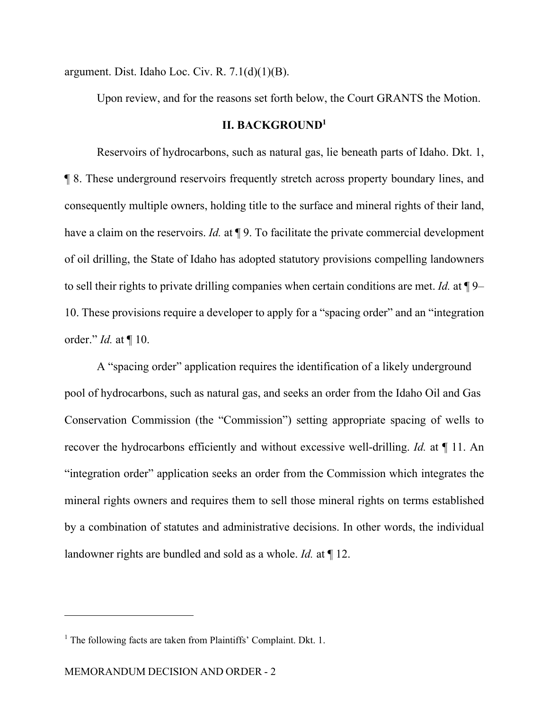argument. Dist. Idaho Loc. Civ. R.  $7.1(d)(1)(B)$ .

Upon review, and for the reasons set forth below, the Court GRANTS the Motion.

## **II. BACKGROUND<sup>1</sup>**

Reservoirs of hydrocarbons, such as natural gas, lie beneath parts of Idaho. Dkt. 1, ¶ 8. These underground reservoirs frequently stretch across property boundary lines, and consequently multiple owners, holding title to the surface and mineral rights of their land, have a claim on the reservoirs. *Id.* at **[9.** To facilitate the private commercial development of oil drilling, the State of Idaho has adopted statutory provisions compelling landowners to sell their rights to private drilling companies when certain conditions are met. *Id.* at ¶ 9– 10. These provisions require a developer to apply for a "spacing order" and an "integration order." *Id.* at ¶ 10.

 A "spacing order" application requires the identification of a likely underground pool of hydrocarbons, such as natural gas, and seeks an order from the Idaho Oil and Gas Conservation Commission (the "Commission") setting appropriate spacing of wells to recover the hydrocarbons efficiently and without excessive well-drilling. *Id.* at ¶ 11. An "integration order" application seeks an order from the Commission which integrates the mineral rights owners and requires them to sell those mineral rights on terms established by a combination of statutes and administrative decisions. In other words, the individual landowner rights are bundled and sold as a whole. *Id.* at ¶ 12.

<sup>&</sup>lt;sup>1</sup> The following facts are taken from Plaintiffs' Complaint. Dkt. 1.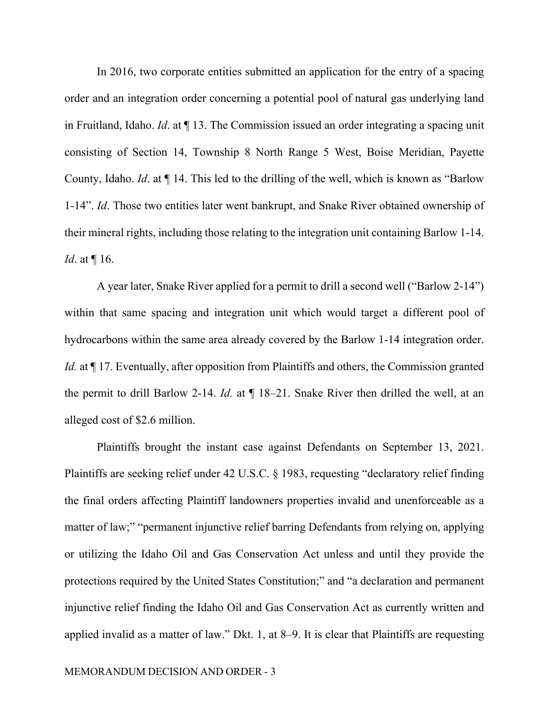In 2016, two corporate entities submitted an application for the entry of a spacing order and an integration order concerning a potential pool of natural gas underlying land in Fruitland, Idaho. *Id*. at ¶ 13. The Commission issued an order integrating a spacing unit consisting of Section 14, Township 8 North Range 5 West, Boise Meridian, Payette County, Idaho. *Id*. at ¶ 14. This led to the drilling of the well, which is known as "Barlow 1-14". *Id*. Those two entities later went bankrupt, and Snake River obtained ownership of their mineral rights, including those relating to the integration unit containing Barlow 1-14. *Id*. at ¶ 16.

A year later, Snake River applied for a permit to drill a second well ("Barlow 2-14") within that same spacing and integration unit which would target a different pool of hydrocarbons within the same area already covered by the Barlow 1-14 integration order. *Id.* at  $\P$  17. Eventually, after opposition from Plaintiffs and others, the Commission granted the permit to drill Barlow 2-14. *Id.* at ¶ 18–21. Snake River then drilled the well, at an alleged cost of \$2.6 million.

Plaintiffs brought the instant case against Defendants on September 13, 2021. Plaintiffs are seeking relief under 42 U.S.C. § 1983, requesting "declaratory relief finding the final orders affecting Plaintiff landowners properties invalid and unenforceable as a matter of law;" "permanent injunctive relief barring Defendants from relying on, applying or utilizing the Idaho Oil and Gas Conservation Act unless and until they provide the protections required by the United States Constitution;" and "a declaration and permanent injunctive relief finding the Idaho Oil and Gas Conservation Act as currently written and applied invalid as a matter of law." Dkt. 1, at 8–9. It is clear that Plaintiffs are requesting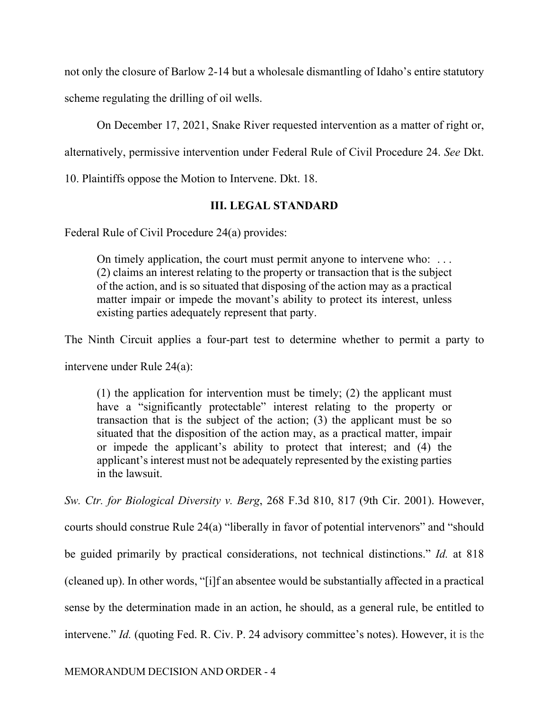not only the closure of Barlow 2-14 but a wholesale dismantling of Idaho's entire statutory scheme regulating the drilling of oil wells.

On December 17, 2021, Snake River requested intervention as a matter of right or,

alternatively, permissive intervention under Federal Rule of Civil Procedure 24. *See* Dkt.

10. Plaintiffs oppose the Motion to Intervene. Dkt. 18.

# **III. LEGAL STANDARD**

Federal Rule of Civil Procedure 24(a) provides:

On timely application, the court must permit anyone to intervene who: . . . (2) claims an interest relating to the property or transaction that is the subject of the action, and is so situated that disposing of the action may as a practical matter impair or impede the movant's ability to protect its interest, unless existing parties adequately represent that party.

The Ninth Circuit applies a four-part test to determine whether to permit a party to

intervene under Rule 24(a):

(1) the application for intervention must be timely; (2) the applicant must have a "significantly protectable" interest relating to the property or transaction that is the subject of the action; (3) the applicant must be so situated that the disposition of the action may, as a practical matter, impair or impede the applicant's ability to protect that interest; and (4) the applicant's interest must not be adequately represented by the existing parties in the lawsuit.

*Sw. Ctr. for Biological Diversity v. Berg*, 268 F.3d 810, 817 (9th Cir. 2001). However, courts should construe Rule 24(a) "liberally in favor of potential intervenors" and "should be guided primarily by practical considerations, not technical distinctions." *Id.* at 818 (cleaned up). In other words, "[i]f an absentee would be substantially affected in a practical sense by the determination made in an action, he should, as a general rule, be entitled to intervene." *Id.* (quoting Fed. R. Civ. P. 24 advisory committee's notes). However, it is the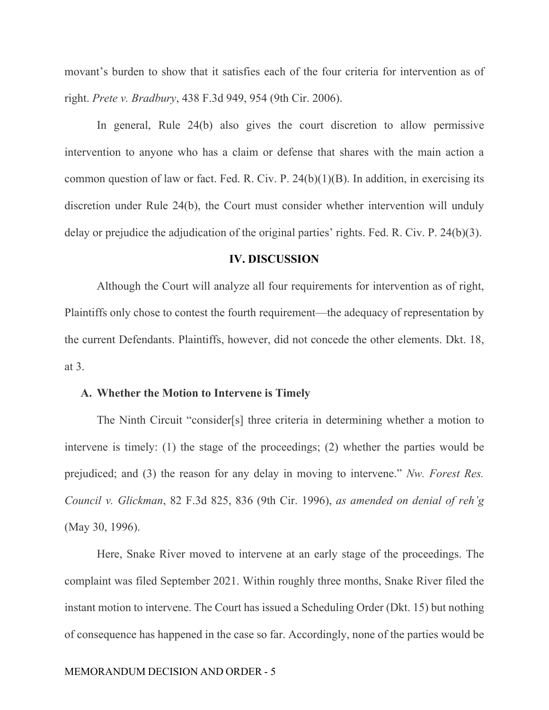movant's burden to show that it satisfies each of the four criteria for intervention as of right. *Prete v. Bradbury*, 438 F.3d 949, 954 (9th Cir. 2006).

In general, Rule 24(b) also gives the court discretion to allow permissive intervention to anyone who has a claim or defense that shares with the main action a common question of law or fact. Fed. R. Civ. P.  $24(b)(1)(B)$ . In addition, in exercising its discretion under Rule 24(b), the Court must consider whether intervention will unduly delay or prejudice the adjudication of the original parties' rights. Fed. R. Civ. P. 24(b)(3).

#### **IV. DISCUSSION**

Although the Court will analyze all four requirements for intervention as of right, Plaintiffs only chose to contest the fourth requirement—the adequacy of representation by the current Defendants. Plaintiffs, however, did not concede the other elements. Dkt. 18, at 3.

#### **A. Whether the Motion to Intervene is Timely**

The Ninth Circuit "consider[s] three criteria in determining whether a motion to intervene is timely: (1) the stage of the proceedings; (2) whether the parties would be prejudiced; and (3) the reason for any delay in moving to intervene." *Nw. Forest Res. Council v. Glickman*, 82 F.3d 825, 836 (9th Cir. 1996), *as amended on denial of reh'g* (May 30, 1996).

Here, Snake River moved to intervene at an early stage of the proceedings. The complaint was filed September 2021. Within roughly three months, Snake River filed the instant motion to intervene. The Court has issued a Scheduling Order (Dkt. 15) but nothing of consequence has happened in the case so far. Accordingly, none of the parties would be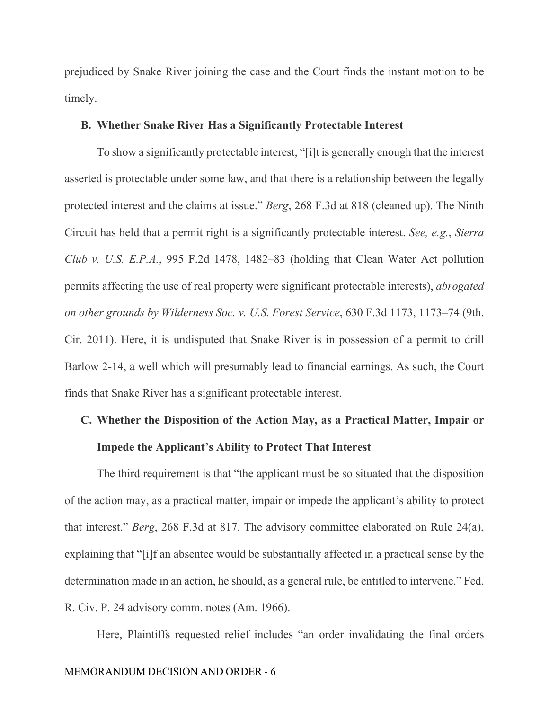prejudiced by Snake River joining the case and the Court finds the instant motion to be timely.

## **B. Whether Snake River Has a Significantly Protectable Interest**

To show a significantly protectable interest, "[i]t is generally enough that the interest asserted is protectable under some law, and that there is a relationship between the legally protected interest and the claims at issue." *Berg*, 268 F.3d at 818 (cleaned up). The Ninth Circuit has held that a permit right is a significantly protectable interest. *See, e.g.*, *Sierra Club v. U.S. E.P.A.*, 995 F.2d 1478, 1482–83 (holding that Clean Water Act pollution permits affecting the use of real property were significant protectable interests), *abrogated on other grounds by Wilderness Soc. v. U.S. Forest Service*, 630 F.3d 1173, 1173–74 (9th. Cir. 2011). Here, it is undisputed that Snake River is in possession of a permit to drill Barlow 2-14, a well which will presumably lead to financial earnings. As such, the Court finds that Snake River has a significant protectable interest.

# **C. Whether the Disposition of the Action May, as a Practical Matter, Impair or Impede the Applicant's Ability to Protect That Interest**

The third requirement is that "the applicant must be so situated that the disposition of the action may, as a practical matter, impair or impede the applicant's ability to protect that interest." *Berg*, 268 F.3d at 817. The advisory committee elaborated on Rule 24(a), explaining that "[i]f an absentee would be substantially affected in a practical sense by the determination made in an action, he should, as a general rule, be entitled to intervene." Fed. R. Civ. P. 24 advisory comm. notes (Am. 1966).

Here, Plaintiffs requested relief includes "an order invalidating the final orders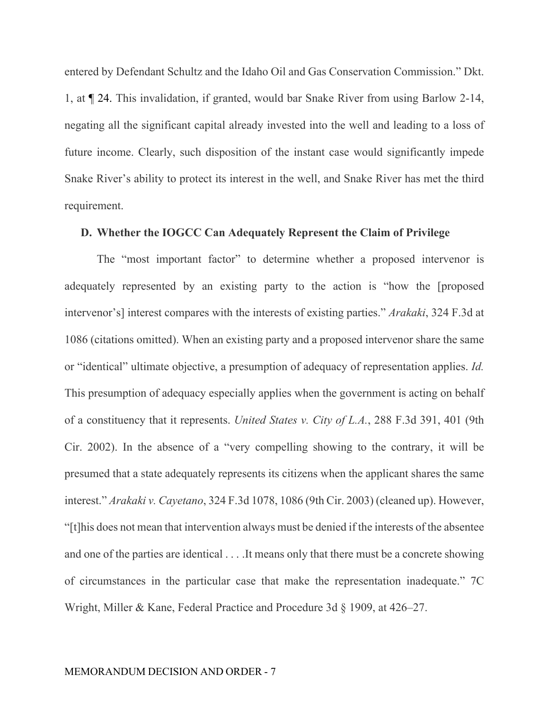entered by Defendant Schultz and the Idaho Oil and Gas Conservation Commission." Dkt. 1, at ¶ 24. This invalidation, if granted, would bar Snake River from using Barlow 2-14, negating all the significant capital already invested into the well and leading to a loss of future income. Clearly, such disposition of the instant case would significantly impede Snake River's ability to protect its interest in the well, and Snake River has met the third requirement.

#### **D. Whether the IOGCC Can Adequately Represent the Claim of Privilege**

The "most important factor" to determine whether a proposed intervenor is adequately represented by an existing party to the action is "how the [proposed intervenor's] interest compares with the interests of existing parties." *Arakaki*, 324 F.3d at 1086 (citations omitted). When an existing party and a proposed intervenor share the same or "identical" ultimate objective, a presumption of adequacy of representation applies. *Id.* This presumption of adequacy especially applies when the government is acting on behalf of a constituency that it represents. *United States v. City of L.A.*, 288 F.3d 391, 401 (9th Cir. 2002). In the absence of a "very compelling showing to the contrary, it will be presumed that a state adequately represents its citizens when the applicant shares the same interest." *Arakaki v. Cayetano*, 324 F.3d 1078, 1086 (9th Cir. 2003) (cleaned up). However, "[t]his does not mean that intervention always must be denied if the interests of the absentee and one of the parties are identical . . . .It means only that there must be a concrete showing of circumstances in the particular case that make the representation inadequate." 7C Wright, Miller & Kane, Federal Practice and Procedure 3d § 1909, at 426–27.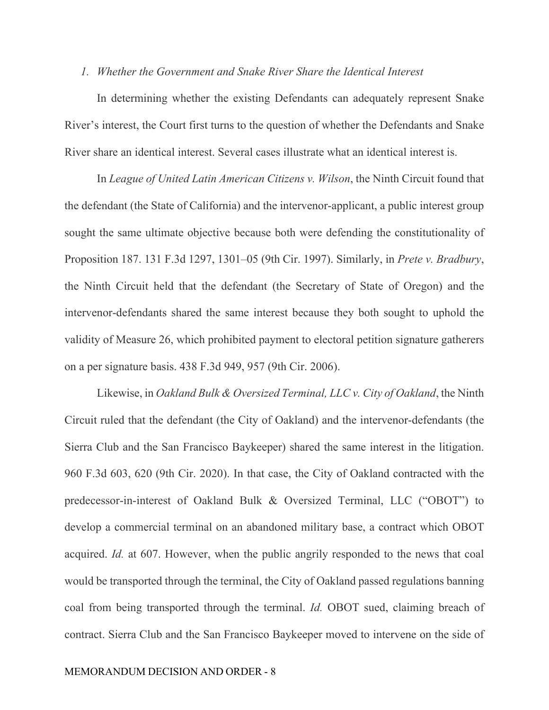#### *1. Whether the Government and Snake River Share the Identical Interest*

In determining whether the existing Defendants can adequately represent Snake River's interest, the Court first turns to the question of whether the Defendants and Snake River share an identical interest. Several cases illustrate what an identical interest is.

In *League of United Latin American Citizens v. Wilson*, the Ninth Circuit found that the defendant (the State of California) and the intervenor-applicant, a public interest group sought the same ultimate objective because both were defending the constitutionality of Proposition 187. 131 F.3d 1297, 1301–05 (9th Cir. 1997). Similarly, in *Prete v. Bradbury*, the Ninth Circuit held that the defendant (the Secretary of State of Oregon) and the intervenor-defendants shared the same interest because they both sought to uphold the validity of Measure 26, which prohibited payment to electoral petition signature gatherers on a per signature basis. 438 F.3d 949, 957 (9th Cir. 2006).

Likewise, in *Oakland Bulk & Oversized Terminal, LLC v. City of Oakland*, the Ninth Circuit ruled that the defendant (the City of Oakland) and the intervenor-defendants (the Sierra Club and the San Francisco Baykeeper) shared the same interest in the litigation. 960 F.3d 603, 620 (9th Cir. 2020). In that case, the City of Oakland contracted with the predecessor-in-interest of Oakland Bulk & Oversized Terminal, LLC ("OBOT") to develop a commercial terminal on an abandoned military base, a contract which OBOT acquired. *Id.* at 607. However, when the public angrily responded to the news that coal would be transported through the terminal, the City of Oakland passed regulations banning coal from being transported through the terminal. *Id.* OBOT sued, claiming breach of contract. Sierra Club and the San Francisco Baykeeper moved to intervene on the side of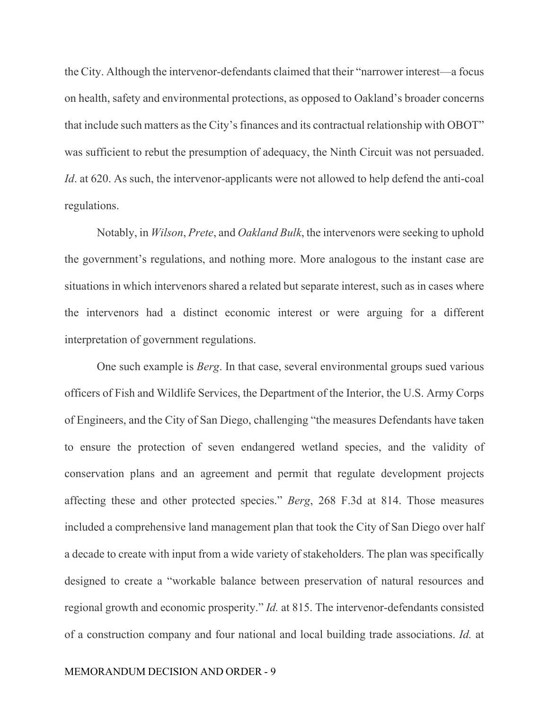the City. Although the intervenor-defendants claimed that their "narrower interest—a focus on health, safety and environmental protections, as opposed to Oakland's broader concerns that include such matters as the City's finances and its contractual relationship with OBOT" was sufficient to rebut the presumption of adequacy, the Ninth Circuit was not persuaded. *Id*. at 620. As such, the intervenor-applicants were not allowed to help defend the anti-coal regulations.

Notably, in *Wilson*, *Prete*, and *Oakland Bulk*, the intervenors were seeking to uphold the government's regulations, and nothing more. More analogous to the instant case are situations in which intervenors shared a related but separate interest, such as in cases where the intervenors had a distinct economic interest or were arguing for a different interpretation of government regulations.

One such example is *Berg*. In that case, several environmental groups sued various officers of Fish and Wildlife Services, the Department of the Interior, the U.S. Army Corps of Engineers, and the City of San Diego, challenging "the measures Defendants have taken to ensure the protection of seven endangered wetland species, and the validity of conservation plans and an agreement and permit that regulate development projects affecting these and other protected species." *Berg*, 268 F.3d at 814. Those measures included a comprehensive land management plan that took the City of San Diego over half a decade to create with input from a wide variety of stakeholders. The plan was specifically designed to create a "workable balance between preservation of natural resources and regional growth and economic prosperity." *Id.* at 815. The intervenor-defendants consisted of a construction company and four national and local building trade associations. *Id.* at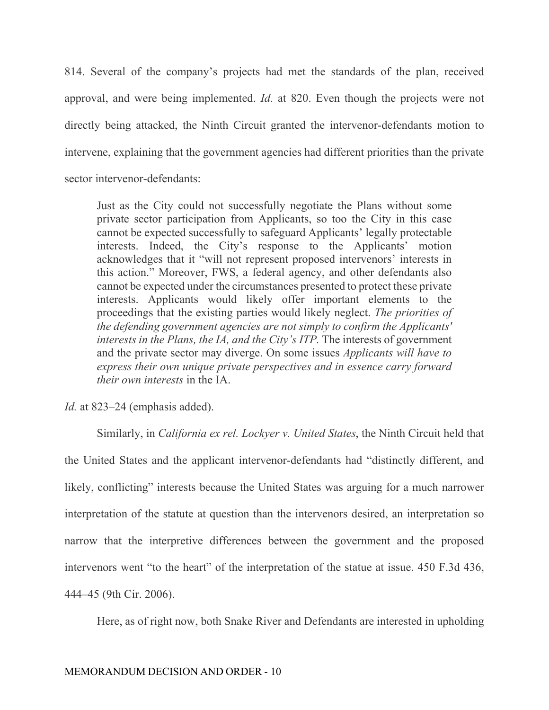814. Several of the company's projects had met the standards of the plan, received approval, and were being implemented. *Id.* at 820. Even though the projects were not directly being attacked, the Ninth Circuit granted the intervenor-defendants motion to intervene, explaining that the government agencies had different priorities than the private sector intervenor-defendants:

Just as the City could not successfully negotiate the Plans without some private sector participation from Applicants, so too the City in this case cannot be expected successfully to safeguard Applicants' legally protectable interests. Indeed, the City's response to the Applicants' motion acknowledges that it "will not represent proposed intervenors' interests in this action." Moreover, FWS, a federal agency, and other defendants also cannot be expected under the circumstances presented to protect these private interests. Applicants would likely offer important elements to the proceedings that the existing parties would likely neglect. *The priorities of the defending government agencies are not simply to confirm the Applicants' interests in the Plans, the IA, and the City's ITP.* The interests of government and the private sector may diverge. On some issues *Applicants will have to express their own unique private perspectives and in essence carry forward their own interests* in the IA.

*Id.* at 823–24 (emphasis added).

Similarly, in *California ex rel. Lockyer v. United States*, the Ninth Circuit held that the United States and the applicant intervenor-defendants had "distinctly different, and likely, conflicting" interests because the United States was arguing for a much narrower interpretation of the statute at question than the intervenors desired, an interpretation so narrow that the interpretive differences between the government and the proposed intervenors went "to the heart" of the interpretation of the statue at issue. 450 F.3d 436, 444–45 (9th Cir. 2006).

Here, as of right now, both Snake River and Defendants are interested in upholding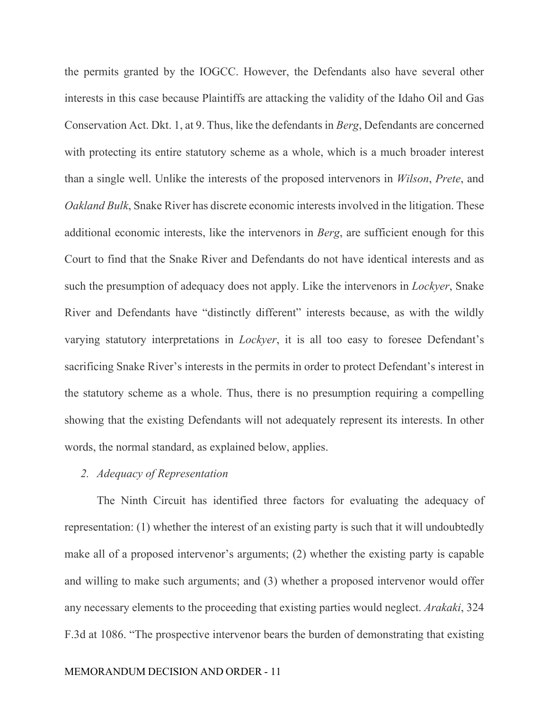the permits granted by the IOGCC. However, the Defendants also have several other interests in this case because Plaintiffs are attacking the validity of the Idaho Oil and Gas Conservation Act. Dkt. 1, at 9. Thus, like the defendants in *Berg*, Defendants are concerned with protecting its entire statutory scheme as a whole, which is a much broader interest than a single well. Unlike the interests of the proposed intervenors in *Wilson*, *Prete*, and *Oakland Bulk*, Snake River has discrete economic interests involved in the litigation. These additional economic interests, like the intervenors in *Berg*, are sufficient enough for this Court to find that the Snake River and Defendants do not have identical interests and as such the presumption of adequacy does not apply. Like the intervenors in *Lockyer*, Snake River and Defendants have "distinctly different" interests because, as with the wildly varying statutory interpretations in *Lockyer*, it is all too easy to foresee Defendant's sacrificing Snake River's interests in the permits in order to protect Defendant's interest in the statutory scheme as a whole. Thus, there is no presumption requiring a compelling showing that the existing Defendants will not adequately represent its interests. In other words, the normal standard, as explained below, applies.

## *2. Adequacy of Representation*

The Ninth Circuit has identified three factors for evaluating the adequacy of representation: (1) whether the interest of an existing party is such that it will undoubtedly make all of a proposed intervenor's arguments; (2) whether the existing party is capable and willing to make such arguments; and (3) whether a proposed intervenor would offer any necessary elements to the proceeding that existing parties would neglect. *Arakaki*, 324 F.3d at 1086. "The prospective intervenor bears the burden of demonstrating that existing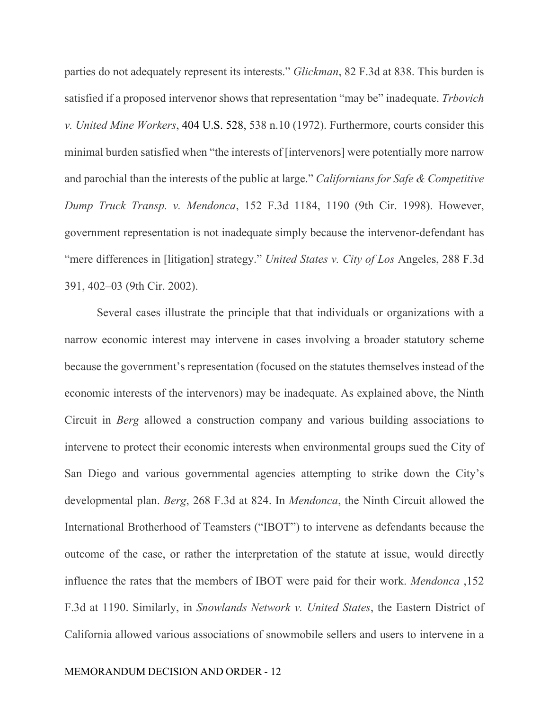parties do not adequately represent its interests." *Glickman*, 82 F.3d at 838. This burden is satisfied if a proposed intervenor shows that representation "may be" inadequate. *Trbovich v. United Mine Workers*, 404 U.S. 528, 538 n.10 (1972). Furthermore, courts consider this minimal burden satisfied when "the interests of [intervenors] were potentially more narrow and parochial than the interests of the public at large." *Californians for Safe & Competitive Dump Truck Transp. v. Mendonca*, 152 F.3d 1184, 1190 (9th Cir. 1998). However, government representation is not inadequate simply because the intervenor-defendant has "mere differences in [litigation] strategy." *United States v. City of Los* Angeles, 288 F.3d 391, 402–03 (9th Cir. 2002).

Several cases illustrate the principle that that individuals or organizations with a narrow economic interest may intervene in cases involving a broader statutory scheme because the government's representation (focused on the statutes themselves instead of the economic interests of the intervenors) may be inadequate. As explained above, the Ninth Circuit in *Berg* allowed a construction company and various building associations to intervene to protect their economic interests when environmental groups sued the City of San Diego and various governmental agencies attempting to strike down the City's developmental plan. *Berg*, 268 F.3d at 824. In *Mendonca*, the Ninth Circuit allowed the International Brotherhood of Teamsters ("IBOT") to intervene as defendants because the outcome of the case, or rather the interpretation of the statute at issue, would directly influence the rates that the members of IBOT were paid for their work. *Mendonca* ,152 F.3d at 1190. Similarly, in *Snowlands Network v. United States*, the Eastern District of California allowed various associations of snowmobile sellers and users to intervene in a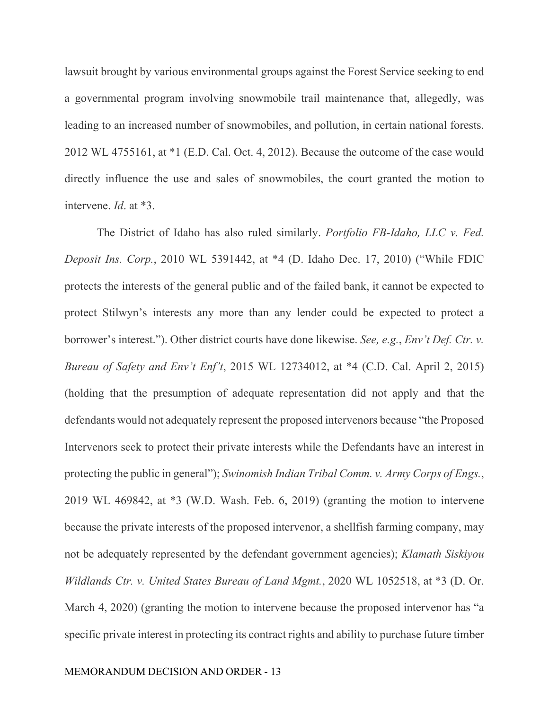lawsuit brought by various environmental groups against the Forest Service seeking to end a governmental program involving snowmobile trail maintenance that, allegedly, was leading to an increased number of snowmobiles, and pollution, in certain national forests. 2012 WL 4755161, at \*1 (E.D. Cal. Oct. 4, 2012). Because the outcome of the case would directly influence the use and sales of snowmobiles, the court granted the motion to intervene. *Id*. at \*3.

The District of Idaho has also ruled similarly. *Portfolio FB-Idaho, LLC v. Fed. Deposit Ins. Corp.*, 2010 WL 5391442, at \*4 (D. Idaho Dec. 17, 2010) ("While FDIC protects the interests of the general public and of the failed bank, it cannot be expected to protect Stilwyn's interests any more than any lender could be expected to protect a borrower's interest."). Other district courts have done likewise. *See, e.g.*, *Env't Def. Ctr. v. Bureau of Safety and Env't Enf't*, 2015 WL 12734012, at \*4 (C.D. Cal. April 2, 2015) (holding that the presumption of adequate representation did not apply and that the defendants would not adequately represent the proposed intervenors because "the Proposed Intervenors seek to protect their private interests while the Defendants have an interest in protecting the public in general"); *Swinomish Indian Tribal Comm. v. Army Corps of Engs.*, 2019 WL 469842, at \*3 (W.D. Wash. Feb. 6, 2019) (granting the motion to intervene because the private interests of the proposed intervenor, a shellfish farming company, may not be adequately represented by the defendant government agencies); *Klamath Siskiyou Wildlands Ctr. v. United States Bureau of Land Mgmt.*, 2020 WL 1052518, at \*3 (D. Or. March 4, 2020) (granting the motion to intervene because the proposed intervenor has "a specific private interest in protecting its contract rights and ability to purchase future timber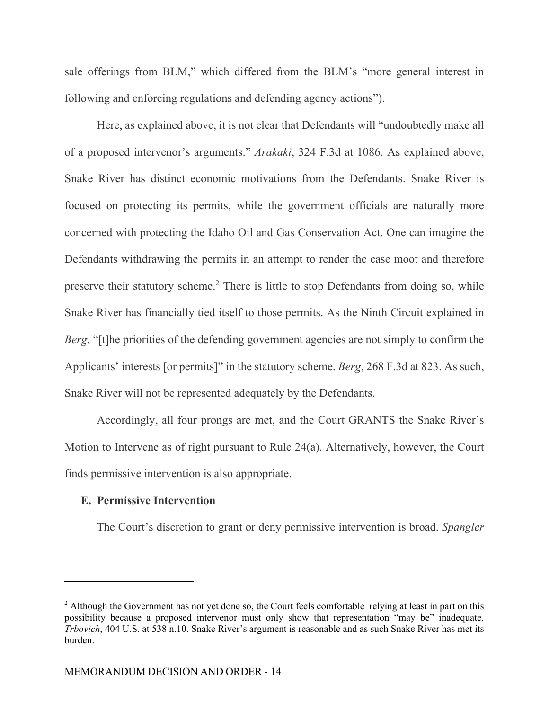sale offerings from BLM," which differed from the BLM's "more general interest in following and enforcing regulations and defending agency actions").

Here, as explained above, it is not clear that Defendants will "undoubtedly make all of a proposed intervenor's arguments." *Arakaki*, 324 F.3d at 1086. As explained above, Snake River has distinct economic motivations from the Defendants. Snake River is focused on protecting its permits, while the government officials are naturally more concerned with protecting the Idaho Oil and Gas Conservation Act. One can imagine the Defendants withdrawing the permits in an attempt to render the case moot and therefore preserve their statutory scheme.<sup>2</sup> There is little to stop Defendants from doing so, while Snake River has financially tied itself to those permits. As the Ninth Circuit explained in *Berg*, "[t]he priorities of the defending government agencies are not simply to confirm the Applicants' interests [or permits]" in the statutory scheme. *Berg*, 268 F.3d at 823. As such, Snake River will not be represented adequately by the Defendants.

Accordingly, all four prongs are met, and the Court GRANTS the Snake River's Motion to Intervene as of right pursuant to Rule 24(a). Alternatively, however, the Court finds permissive intervention is also appropriate.

### **E. Permissive Intervention**

The Court's discretion to grant or deny permissive intervention is broad. *Spangler* 

 $2$  Although the Government has not yet done so, the Court feels comfortable relying at least in part on this possibility because a proposed intervenor must only show that representation "may be" inadequate. *Trbovich*, 404 U.S. at 538 n.10. Snake River's argument is reasonable and as such Snake River has met its burden.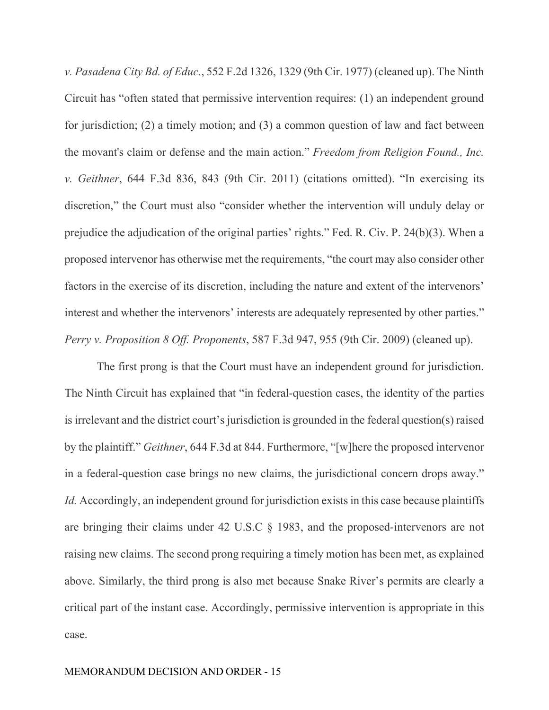*v. Pasadena City Bd. of Educ.*, 552 F.2d 1326, 1329 (9th Cir. 1977) (cleaned up). The Ninth Circuit has "often stated that permissive intervention requires: (1) an independent ground for jurisdiction; (2) a timely motion; and (3) a common question of law and fact between the movant's claim or defense and the main action." *Freedom from Religion Found., Inc. v. Geithner*, 644 F.3d 836, 843 (9th Cir. 2011) (citations omitted). "In exercising its discretion," the Court must also "consider whether the intervention will unduly delay or prejudice the adjudication of the original parties' rights." Fed. R. Civ. P. 24(b)(3). When a proposed intervenor has otherwise met the requirements, "the court may also consider other factors in the exercise of its discretion, including the nature and extent of the intervenors' interest and whether the intervenors' interests are adequately represented by other parties." *Perry v. Proposition 8 Off. Proponents*, 587 F.3d 947, 955 (9th Cir. 2009) (cleaned up).

 The first prong is that the Court must have an independent ground for jurisdiction. The Ninth Circuit has explained that "in federal-question cases, the identity of the parties is irrelevant and the district court's jurisdiction is grounded in the federal question(s) raised by the plaintiff." *Geithner*, 644 F.3d at 844. Furthermore, "[w]here the proposed intervenor in a federal-question case brings no new claims, the jurisdictional concern drops away." *Id.* Accordingly, an independent ground for jurisdiction exists in this case because plaintiffs are bringing their claims under 42 U.S.C § 1983, and the proposed-intervenors are not raising new claims. The second prong requiring a timely motion has been met, as explained above. Similarly, the third prong is also met because Snake River's permits are clearly a critical part of the instant case. Accordingly, permissive intervention is appropriate in this case.